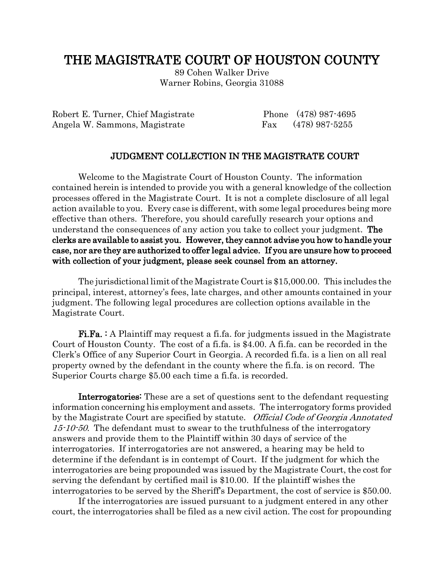## THE MAGISTRATE COURT OF HOUSTON COUNTY

89 Cohen Walker Drive Warner Robins, Georgia 31088

Robert E. Turner, Chief Magistrate Phone (478) 987-4695 Angela W. Sammons, Magistrate Fax (478) 987-5255

## JUDGMENT COLLECTION IN THE MAGISTRATE COURT

Welcome to the Magistrate Court of Houston County. The information contained herein is intended to provide you with a general knowledge of the collection processes offered in the Magistrate Court. It is not a complete disclosure of all legal action available to you. Every case is different, with some legal procedures being more effective than others. Therefore, you should carefully research your options and understand the consequences of any action you take to collect your judgment. The clerks are available to assist you. However, they cannot advise you how to handle your case, nor are they are authorized to offer legal advice. If you are unsure how to proceed with collection of your judgment, please seek counsel from an attorney.

The jurisdictional limit of the Magistrate Court is \$15,000.00. This includes the principal, interest, attorney's fees, late charges, and other amounts contained in your judgment. The following legal procedures are collection options available in the Magistrate Court.

Fi.Fa. : A Plaintiff may request a fi.fa. for judgments issued in the Magistrate Court of Houston County. The cost of a fi.fa. is \$4.00. A fi.fa. can be recorded in the Clerk's Office of any Superior Court in Georgia. A recorded fi.fa. is a lien on all real property owned by the defendant in the county where the fi.fa. is on record. The Superior Courts charge \$5.00 each time a fi.fa. is recorded.

Interrogatories: These are a set of questions sent to the defendant requesting information concerning his employment and assets. The interrogatory forms provided by the Magistrate Court are specified by statute. Official Code of Georgia Annotated 15-10-50. The defendant must to swear to the truthfulness of the interrogatory answers and provide them to the Plaintiff within 30 days of service of the interrogatories. If interrogatories are not answered, a hearing may be held to determine if the defendant is in contempt of Court. If the judgment for which the interrogatories are being propounded was issued by the Magistrate Court, the cost for serving the defendant by certified mail is \$10.00. If the plaintiff wishes the interrogatories to be served by the Sheriff's Department, the cost of service is \$50.00.

If the interrogatories are issued pursuant to a judgment entered in any other court, the interrogatories shall be filed as a new civil action. The cost for propounding